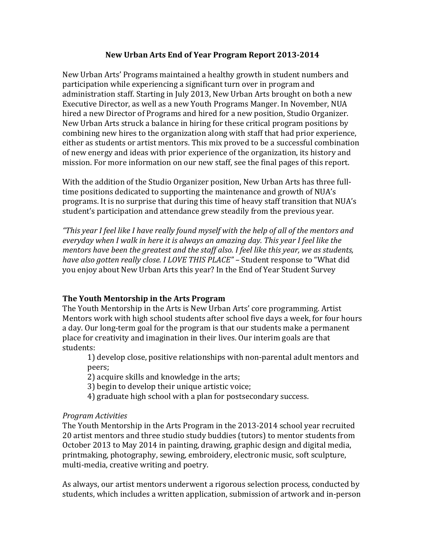## New Urban Arts End of Year Program Report 2013-2014

New Urban Arts' Programs maintained a healthy growth in student numbers and participation while experiencing a significant turn over in program and administration staff. Starting in July 2013, New Urban Arts brought on both a new Executive Director, as well as a new Youth Programs Manger. In November, NUA hired a new Director of Programs and hired for a new position, Studio Organizer. New Urban Arts struck a balance in hiring for these critical program positions by combining new hires to the organization along with staff that had prior experience, either as students or artist mentors. This mix proved to be a successful combination of new energy and ideas with prior experience of the organization, its history and mission. For more information on our new staff, see the final pages of this report.

With the addition of the Studio Organizer position, New Urban Arts has three fulltime positions dedicated to supporting the maintenance and growth of NUA's programs. It is no surprise that during this time of heavy staff transition that NUA's student's participation and attendance grew steadily from the previous year.

*"This* year I feel like I have really found myself with the help of all of the mentors and *everyday* when I walk in here it is always an amazing day. This year I feel like the *mentors have been the greatest and the staff also. I feel like this year, we as students, have also gotten really close. I LOVE THIS PLACE"* – Student response to "What did you enjoy about New Urban Arts this year? In the End of Year Student Survey

# **The Youth Mentorship in the Arts Program**

The Youth Mentorship in the Arts is New Urban Arts' core programming. Artist Mentors work with high school students after school five days a week, for four hours a day. Our long-term goal for the program is that our students make a permanent place for creativity and imagination in their lives. Our interim goals are that students:

1) develop close, positive relationships with non-parental adult mentors and peers; 

2) acquire skills and knowledge in the arts;

- 3) begin to develop their unique artistic voice;
- 4) graduate high school with a plan for postsecondary success.

# *Program Activities*

The Youth Mentorship in the Arts Program in the 2013-2014 school year recruited 20 artist mentors and three studio study buddies (tutors) to mentor students from October 2013 to May 2014 in painting, drawing, graphic design and digital media, printmaking, photography, sewing, embroidery, electronic music, soft sculpture, multi-media, creative writing and poetry.

As always, our artist mentors underwent a rigorous selection process, conducted by students, which includes a written application, submission of artwork and in-person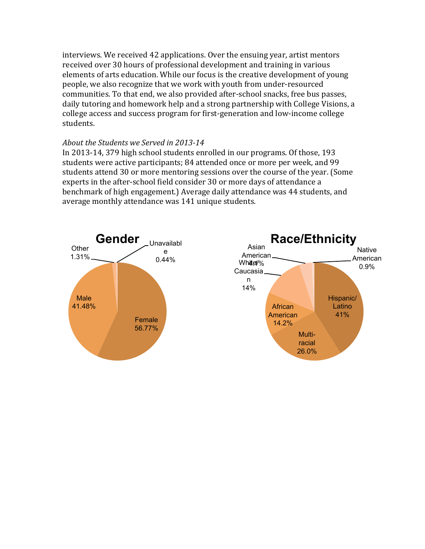interviews. We received 42 applications. Over the ensuing year, artist mentors received over 30 hours of professional development and training in various elements of arts education. While our focus is the creative development of young people, we also recognize that we work with youth from under-resourced communities. To that end, we also provided after-school snacks, free bus passes, daily tutoring and homework help and a strong partnership with College Visions, a college access and success program for first-generation and low-income college students.

#### *About the Students we Served in 2013-14*

In 2013-14, 379 high school students enrolled in our programs. Of those, 193 students were active participants; 84 attended once or more per week, and 99 students attend 30 or more mentoring sessions over the course of the year. (Some experts in the after-school field consider 30 or more days of attendance a benchmark of high engagement.) Average daily attendance was 44 students, and average monthly attendance was 141 unique students.



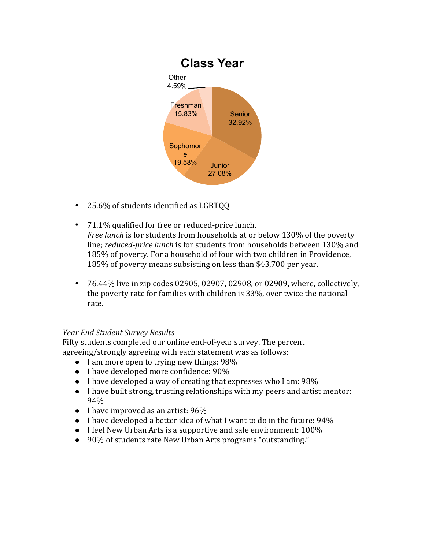

- 25.6% of students identified as LGBTQQ
- 71.1% qualified for free or reduced-price lunch. *Free lunch* is for students from households at or below 130% of the poverty line; *reduced-price lunch* is for students from households between 130% and 185% of poverty. For a household of four with two children in Providence, 185% of poverty means subsisting on less than \$43,700 per year.
- 76.44% live in zip codes 02905, 02907, 02908, or 02909, where, collectively, the poverty rate for families with children is 33%, over twice the national rate.

# *Year End Student Survey Results*

Fifty students completed our online end-of-year survey. The percent agreeing/strongly agreeing with each statement was as follows:

- $\bullet$  I am more open to trying new things: 98%
- I have developed more confidence: 90%
- $\bullet$  I have developed a way of creating that expresses who I am: 98%
- I have built strong, trusting relationships with my peers and artist mentor: 94%
- $\bullet$  I have improved as an artist: 96%
- $\bullet$  I have developed a better idea of what I want to do in the future: 94%
- $\bullet$  I feel New Urban Arts is a supportive and safe environment: 100%
- 90% of students rate New Urban Arts programs "outstanding."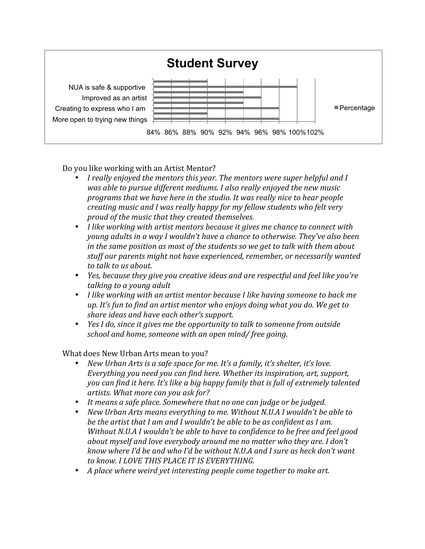

Do you like working with an Artist Mentor?

- I really enjoyed the mentors this year. The mentors were super helpful and I was able to pursue different mediums. I also really enjoyed the new music *programs* that we have here in the studio. It was really nice to hear people *creating music and I was really happy for my fellow students who felt very proud of the music that they created themselves.*
- I like working with artist mentors because it gives me chance to connect with *young adults* in a way I wouldn't have a chance to otherwise. They've also been *in* the same position as most of the students so we get to talk with them about stuff our parents might not have experienced, remember, or necessarily wanted *to talk to us about.*
- *Yes, because they give you creative ideas and are respectful and feel like you're* talking to a young adult
- I like working with an artist mentor because I like having someone to back me up. It's fun to find an artist mentor who enjoys doing what you do. We get to *share ideas and have each other's support.*
- *Yes I do, since it gives me the opportunity to talk to someone from outside school and home, someone with an open mind/ free going.*

What does New Urban Arts mean to you?

- New Urban Arts is a safe space for me. It's a family, it's shelter, it's love. *Everything you need you can find here. Whether its inspiration, art, support, you* can find it here. It's like a big happy family that is full of extremely talented artists. What more can you ask for?
- It means a safe place. Somewhere that no one can judge or be judged.
- New Urban Arts means everything to me. Without N.U.A I wouldn't be able to *be the artist that I am and I wouldn't be able to be as confident as I am. Without N.U.A I wouldn't be able to have to confidence to be free and feel good about* myself and love everybody around me no matter who they are. I don't *know* where I'd be and who I'd be without N.U.A and I sure as heck don't want to know. I LOVE THIS PLACE IT IS EVERYTHING.
- A place where weird yet interesting people come together to make art.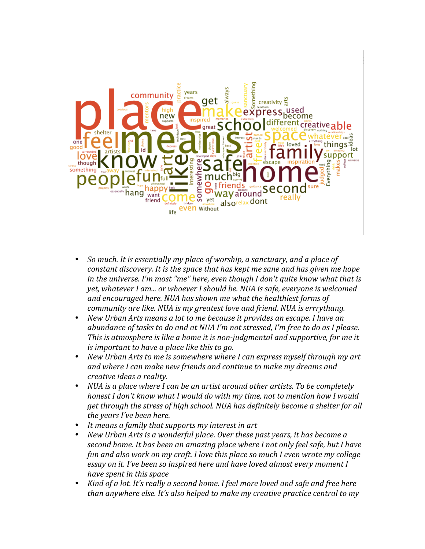

- So much. It is essentially my place of worship, a sanctuary, and a place of *constant discovery. It is the space that has kept me sane and has given me hope in* the universe. I'm most "me" here, even though I don't quite know what that is *yet, whatever I am... or whoever I should be. NUA is safe, everyone is welcomed* and encouraged here. NUA has shown me what the healthiest forms of *community are like.* NUA is my greatest love and friend. NUA is errrythang.
- New Urban Arts means a lot to me because it provides an escape. I have an *abundance of tasks to do and at NUA I'm not stressed, I'm free to do as I please. This* is atmosphere is like a home it is non-judgmental and supportive, for me it *is* important to have a place like this to go.
- New Urban Arts to me is somewhere where I can express myself through my art and where I can make new friends and continue to make my dreams and *creative ideas a reality.*
- *NUA* is a place where I can be an artist around other artists. To be completely *honest I don't know what I would do with my time, not to mention how I would get through the stress of high school. NUA has definitely become a shelter for all the years I've been here.*
- *It means a family that supports my interest in art*
- *New Urban Arts is a wonderful place. Over these past years, it has become a second home. It has been an amazing place where I not only feel safe, but I have fun and also work on my craft. I love this place so much I even wrote my college essay* on it. I've been so inspired here and have loved almost every moment I *have spent in this space*
- *Kind of a lot. It's really a second home. I feel more loved and safe and free here than anywhere else. It's also helped to make my creative practice central to my*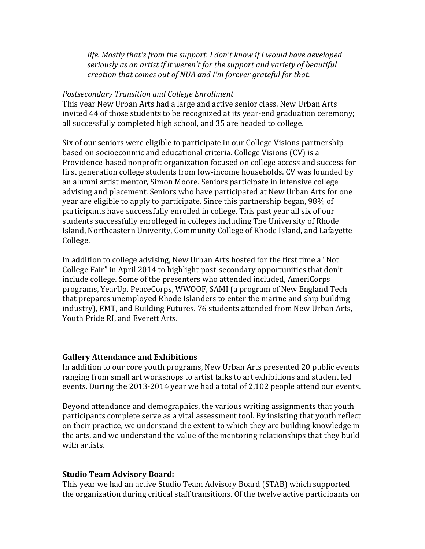life. Mostly that's from the support. I don't know if I would have developed *seriously as an artist if it weren't for the support and variety of beautiful creation that comes out of NUA and I'm forever grateful for that.* 

#### *Postsecondary Transition and College Enrollment*

This year New Urban Arts had a large and active senior class. New Urban Arts invited 44 of those students to be recognized at its year-end graduation ceremony; all successfully completed high school, and 35 are headed to college.

Six of our seniors were eligible to participate in our College Visions partnership based on socioeconmic and educational criteria. College Visions (CV) is a Providence-based nonprofit organization focused on college access and success for first generation college students from low-income households. CV was founded by an alumni artist mentor, Simon Moore. Seniors participate in intensive college advising and placement. Seniors who have participated at New Urban Arts for one year are eligible to apply to participate. Since this partnership began, 98% of participants have successfully enrolled in college. This past year all six of our students successfully enrolleged in colleges including The University of Rhode Island, Northeastern Univerity, Community College of Rhode Island, and Lafayette College. 

In addition to college advising, New Urban Arts hosted for the first time a "Not" College Fair" in April 2014 to highlight post-secondary opportunities that don't include college. Some of the presenters who attended included, AmeriCorps programs, YearUp, PeaceCorps, WWOOF, SAMI (a program of New England Tech that prepares unemployed Rhode Islanders to enter the marine and ship building industry), EMT, and Building Futures. 76 students attended from New Urban Arts, Youth Pride RI, and Everett Arts.

#### **Gallery Attendance and Exhibitions**

In addition to our core youth programs, New Urban Arts presented 20 public events ranging from small art workshops to artist talks to art exhibitions and student led events. During the 2013-2014 year we had a total of 2,102 people attend our events.

Beyond attendance and demographics, the various writing assignments that youth participants complete serve as a vital assessment tool. By insisting that youth reflect on their practice, we understand the extent to which they are building knowledge in the arts, and we understand the value of the mentoring relationships that they build with artists.

#### **Studio Team Advisory Board:**

This year we had an active Studio Team Advisory Board (STAB) which supported the organization during critical staff transitions. Of the twelve active participants on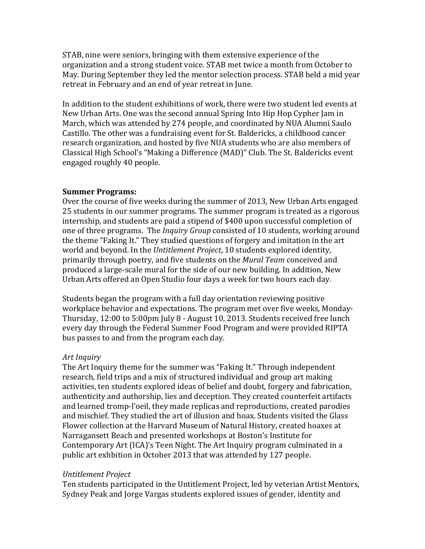STAB, nine were seniors, bringing with them extensive experience of the organization and a strong student voice. STAB met twice a month from October to May. During September they led the mentor selection process. STAB held a mid year retreat in February and an end of year retreat in June.

In addition to the student exhibitions of work, there were two student led events at New Urban Arts. One was the second annual Spring Into Hip Hop Cypher Jam in March, which was attended by 274 people, and coordinated by NUA Alumni Saulo Castillo. The other was a fundraising event for St. Baldericks, a childhood cancer research organization, and hosted by five NUA students who are also members of Classical High School's "Making a Difference (MAD)" Club. The St. Baldericks event engaged roughly 40 people.

#### **Summer Programs:**

Over the course of five weeks during the summer of 2013, New Urban Arts engaged 25 students in our summer programs. The summer program is treated as a rigorous internship, and students are paid a stipend of \$400 upon successful completion of one of three programs. The *Inquiry Group* consisted of 10 students, working around the theme "Faking It." They studied questions of forgery and imitation in the art world and beyond. In the *Untitlement Project*, 10 students explored identity, primarily through poetry, and five students on the *Mural Team* conceived and produced a large-scale mural for the side of our new building. In addition, New Urban Arts offered an Open Studio four days a week for two hours each day.

Students began the program with a full day orientation reviewing positive workplace behavior and expectations. The program met over five weeks, Monday-Thursday, 12:00 to 5:00pm July 8 - August 10, 2013. Students received free lunch every day through the Federal Summer Food Program and were provided RIPTA bus passes to and from the program each day.

## *Art Inquiry*

The Art Inquiry theme for the summer was "Faking It." Through independent research, field trips and a mix of structured individual and group art making activities, ten students explored ideas of belief and doubt, forgery and fabrication, authenticity and authorship, lies and deception. They created counterfeit artifacts and learned tromp-l'oeil, they made replicas and reproductions, created parodies and mischief. They studied the art of illusion and hoax. Students visited the Glass Flower collection at the Harvard Museum of Natural History, created hoaxes at Narragansett Beach and presented workshops at Boston's Institute for Contemporary Art (ICA)'s Teen Night. The Art Inquiry program culminated in a public art exhbition in October 2013 that was attended by 127 people.

## *Untitlement Project*

Ten students participated in the Untitlement Project, led by veterian Artist Mentors, Sydney Peak and Jorge Vargas students explored issues of gender, identity and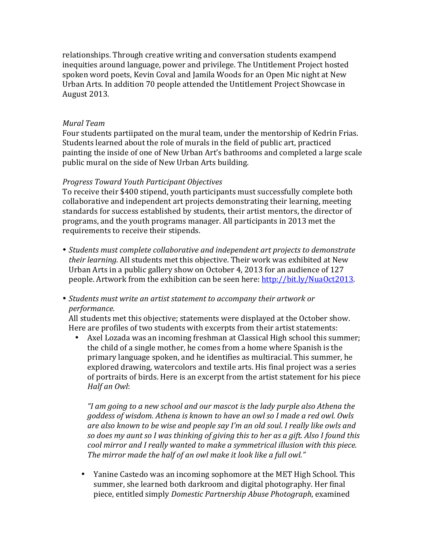relationships. Through creative writing and conversation students exampend inequities around language, power and privilege. The Untitlement Project hosted spoken word poets, Kevin Coval and Jamila Woods for an Open Mic night at New Urban Arts. In addition 70 people attended the Untitlement Project Showcase in August 2013.

#### *Mural Team*

Four students partiipated on the mural team, under the mentorship of Kedrin Frias. Students learned about the role of murals in the field of public art, practiced painting the inside of one of New Urban Art's bathrooms and completed a large scale public mural on the side of New Urban Arts building.

#### *Progress Toward Youth Participant Objectives*

To receive their \$400 stipend, youth participants must successfully complete both collaborative and independent art projects demonstrating their learning, meeting standards for success established by students, their artist mentors, the director of programs, and the youth programs manager. All participants in 2013 met the requirements to receive their stipends.

- *Students must complete collaborative and independent art projects to demonstrate their learning.* All students met this objective. Their work was exhibited at New Urban Arts in a public gallery show on October 4, 2013 for an audience of  $127$ people. Artwork from the exhibition can be seen here: http://bit.ly/NuaOct2013.
- *Students must write an artist statement to accompany their artwork or performance.*

All students met this objective; statements were displayed at the October show. Here are profiles of two students with excerpts from their artist statements:

• Axel Lozada was an incoming freshman at Classical High school this summer; the child of a single mother, he comes from a home where Spanish is the primary language spoken, and he identifies as multiracial. This summer, he explored drawing, watercolors and textile arts. His final project was a series of portraits of birds. Here is an excerpt from the artist statement for his piece *Half an Owl*:

*"I* am going to a new school and our mascot is the lady purple also Athena the *goddess of wisdom. Athena is known to have an owl so I made a red owl. Owls* are also known to be wise and people say I'm an old soul. I really like owls and *so does my aunt so I was thinking of giving this to her as a gift. Also I found this cool* mirror and I really wanted to make a symmetrical illusion with this piece. The mirror made the half of an owl make it look like a full owl."

• Yanine Castedo was an incoming sophomore at the MET High School. This summer, she learned both darkroom and digital photography. Her final piece, entitled simply *Domestic Partnership Abuse Photograph*, examined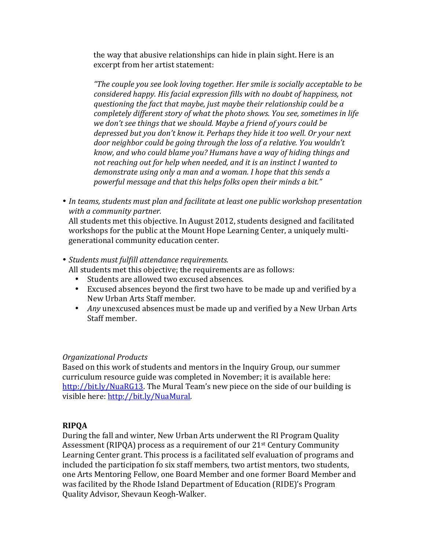the way that abusive relationships can hide in plain sight. Here is an excerpt from her artist statement:

*"The couple you see look loving together. Her smile is socially acceptable to be considered happy. His facial expression fills with no doubt of happiness, not questioning the fact that maybe, just maybe their relationship could be a completely different story of what the photo shows. You see, sometimes in life* we don't see things that we should. Maybe a friend of yours could be *depressed but you don't know it. Perhaps they hide it too well. Or your next door neighbor could be going through the loss of a relative. You wouldn't know, and who could blame you? Humans have a way of hiding things and not reaching out for help when needed, and it is an instinct I wanted to demonstrate using only a man and a woman. I hope that this sends a* powerful message and that this helps folks open their minds a bit."

• In teams, students must plan and facilitate at least one public workshop presentation *with a community partner.*

All students met this objective. In August 2012, students designed and facilitated workshops for the public at the Mount Hope Learning Center, a uniquely multigenerational community education center.

• *Students must fulfill attendance requirements.* 

All students met this objective; the requirements are as follows:

- Students are allowed two excused absences.
- Excused absences beyond the first two have to be made up and verified by a New Urban Arts Staff member.
- *Any* unexcused absences must be made up and verified by a New Urban Arts Staff member.

## *Organizational Products*

Based on this work of students and mentors in the Inquiry Group, our summer curriculum resource guide was completed in November; it is available here: http://bit.ly/NuaRG13. The Mural Team's new piece on the side of our building is visible here: http://bit.ly/NuaMural.

## **RIPQA**

During the fall and winter, New Urban Arts underwent the RI Program Quality Assessment (RIPQA) process as a requirement of our  $21<sup>st</sup>$  Century Community Learning Center grant. This process is a facilitated self evaluation of programs and included the participation fo six staff members, two artist mentors, two students, one Arts Mentoring Fellow, one Board Member and one former Board Member and was facilited by the Rhode Island Department of Education (RIDE)'s Program Quality Advisor, Shevaun Keogh-Walker.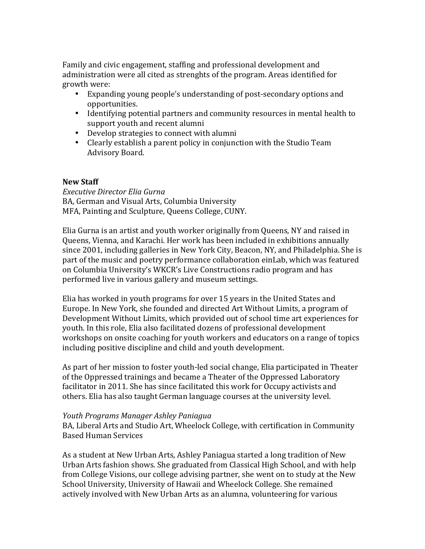Family and civic engagement, staffing and professional development and administration were all cited as strenghts of the program. Areas identified for growth were:

- Expanding young people's understanding of post-secondary options and opportunities.
- Identifying potential partners and community resources in mental health to support youth and recent alumni
- Develop strategies to connect with alumni
- Clearly establish a parent policy in conjunction with the Studio Team Advisory Board.

## **New Staff**

*Executive Director Elia Gurna* BA, German and Visual Arts, Columbia University MFA, Painting and Sculpture, Queens College, CUNY.

Elia Gurna is an artist and youth worker originally from Queens, NY and raised in Queens, Vienna, and Karachi. Her work has been included in exhibitions annually since 2001, including galleries in New York City, Beacon, NY, and Philadelphia. She is part of the music and poetry performance collaboration einLab, which was featured on Columbia University's WKCR's Live Constructions radio program and has performed live in various gallery and museum settings.

Elia has worked in youth programs for over 15 years in the United States and Europe. In New York, she founded and directed Art Without Limits, a program of Development Without Limits, which provided out of school time art experiences for youth. In this role, Elia also facilitated dozens of professional development workshops on onsite coaching for youth workers and educators on a range of topics including positive discipline and child and youth development.

As part of her mission to foster youth-led social change, Elia participated in Theater of the Oppressed trainings and became a Theater of the Oppressed Laboratory facilitator in 2011. She has since facilitated this work for Occupy activists and others. Elia has also taught German language courses at the university level.

#### *Youth Programs Manager Ashley Paniagua*

BA, Liberal Arts and Studio Art, Wheelock College, with certification in Community Based Human Services

As a student at New Urban Arts, Ashley Paniagua started a long tradition of New Urban Arts fashion shows. She graduated from Classical High School, and with help from College Visions, our college advising partner, she went on to study at the New School University, University of Hawaii and Wheelock College. She remained actively involved with New Urban Arts as an alumna, volunteering for various